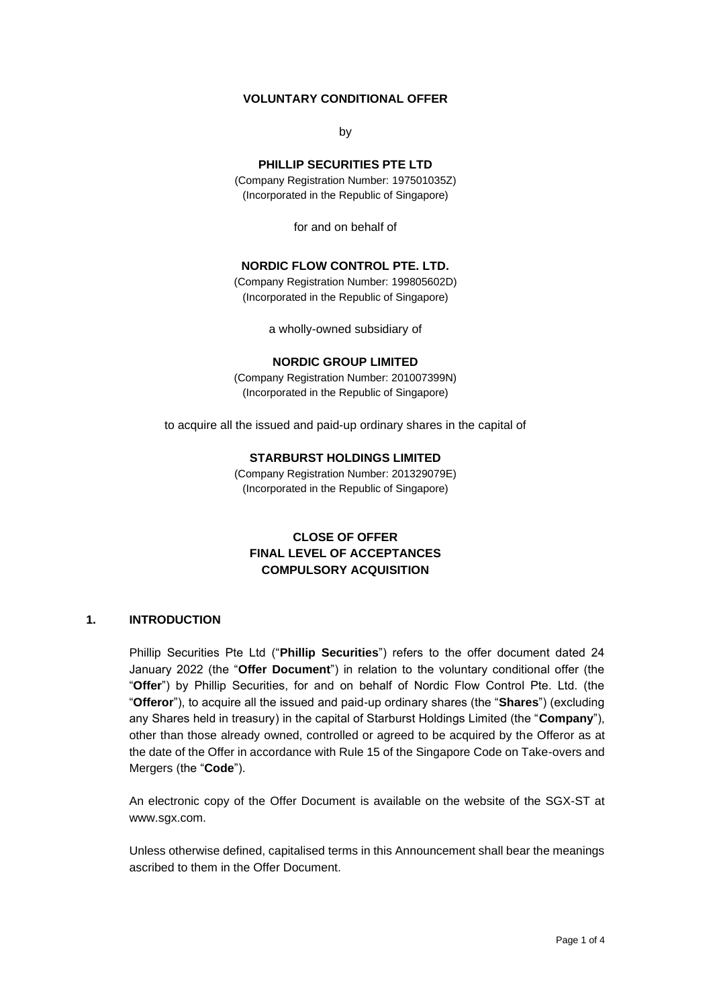# **VOLUNTARY CONDITIONAL OFFER**

by

# **PHILLIP SECURITIES PTE LTD**

(Company Registration Number: 197501035Z) (Incorporated in the Republic of Singapore)

for and on behalf of

## **NORDIC FLOW CONTROL PTE. LTD.**

(Company Registration Number: 199805602D) (Incorporated in the Republic of Singapore)

a wholly-owned subsidiary of

#### **NORDIC GROUP LIMITED**

(Company Registration Number: 201007399N) (Incorporated in the Republic of Singapore)

to acquire all the issued and paid-up ordinary shares in the capital of

## **STARBURST HOLDINGS LIMITED**

(Company Registration Number: 201329079E) (Incorporated in the Republic of Singapore)

# **CLOSE OF OFFER FINAL LEVEL OF ACCEPTANCES COMPULSORY ACQUISITION**

# **1. INTRODUCTION**

Phillip Securities Pte Ltd ("**Phillip Securities**") refers to the offer document dated 24 January 2022 (the "**Offer Document**") in relation to the voluntary conditional offer (the "**Offer**") by Phillip Securities, for and on behalf of Nordic Flow Control Pte. Ltd. (the "**Offeror**"), to acquire all the issued and paid-up ordinary shares (the "**Shares**") (excluding any Shares held in treasury) in the capital of Starburst Holdings Limited (the "**Company**"), other than those already owned, controlled or agreed to be acquired by the Offeror as at the date of the Offer in accordance with Rule 15 of the Singapore Code on Take-overs and Mergers (the "**Code**").

An electronic copy of the Offer Document is available on the website of the SGX-ST at www.sgx.com.

Unless otherwise defined, capitalised terms in this Announcement shall bear the meanings ascribed to them in the Offer Document.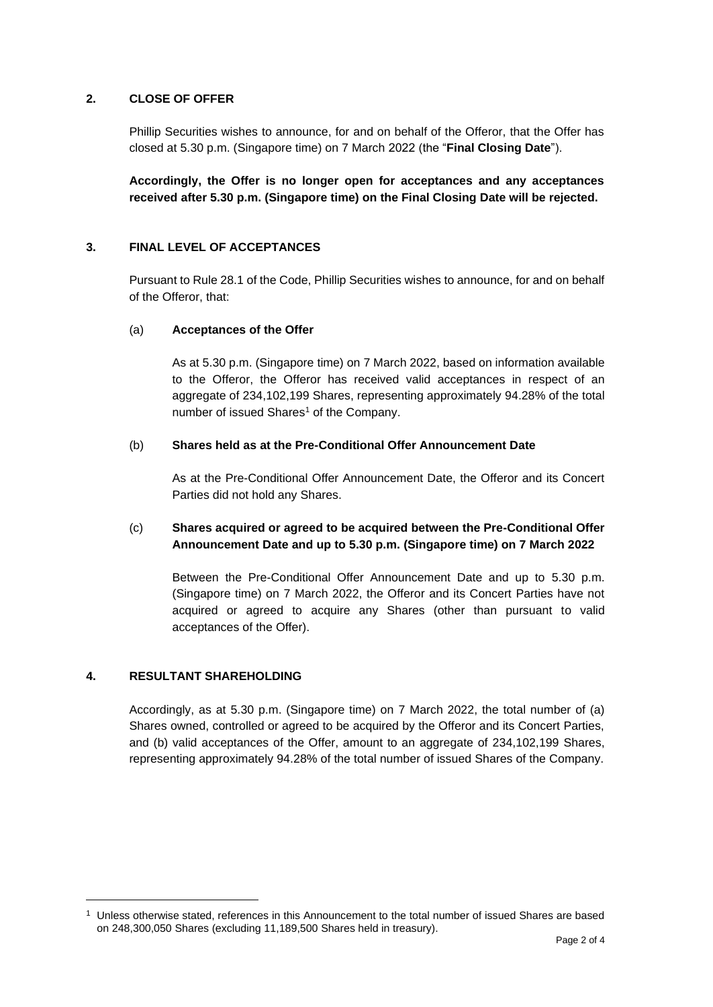## **2. CLOSE OF OFFER**

Phillip Securities wishes to announce, for and on behalf of the Offeror, that the Offer has closed at 5.30 p.m. (Singapore time) on 7 March 2022 (the "**Final Closing Date**").

**Accordingly, the Offer is no longer open for acceptances and any acceptances received after 5.30 p.m. (Singapore time) on the Final Closing Date will be rejected.**

## **3. FINAL LEVEL OF ACCEPTANCES**

Pursuant to Rule 28.1 of the Code, Phillip Securities wishes to announce, for and on behalf of the Offeror, that:

### (a) **Acceptances of the Offer**

As at 5.30 p.m. (Singapore time) on 7 March 2022, based on information available to the Offeror, the Offeror has received valid acceptances in respect of an aggregate of 234,102,199 Shares, representing approximately 94.28% of the total number of issued Shares<sup>1</sup> of the Company.

# (b) **Shares held as at the Pre-Conditional Offer Announcement Date**

As at the Pre-Conditional Offer Announcement Date, the Offeror and its Concert Parties did not hold any Shares.

# (c) **Shares acquired or agreed to be acquired between the Pre-Conditional Offer Announcement Date and up to 5.30 p.m. (Singapore time) on 7 March 2022**

Between the Pre-Conditional Offer Announcement Date and up to 5.30 p.m. (Singapore time) on 7 March 2022, the Offeror and its Concert Parties have not acquired or agreed to acquire any Shares (other than pursuant to valid acceptances of the Offer).

## **4. RESULTANT SHAREHOLDING**

Accordingly, as at 5.30 p.m. (Singapore time) on 7 March 2022, the total number of (a) Shares owned, controlled or agreed to be acquired by the Offeror and its Concert Parties, and (b) valid acceptances of the Offer, amount to an aggregate of 234,102,199 Shares, representing approximately 94.28% of the total number of issued Shares of the Company.

<sup>1</sup> Unless otherwise stated, references in this Announcement to the total number of issued Shares are based on 248,300,050 Shares (excluding 11,189,500 Shares held in treasury).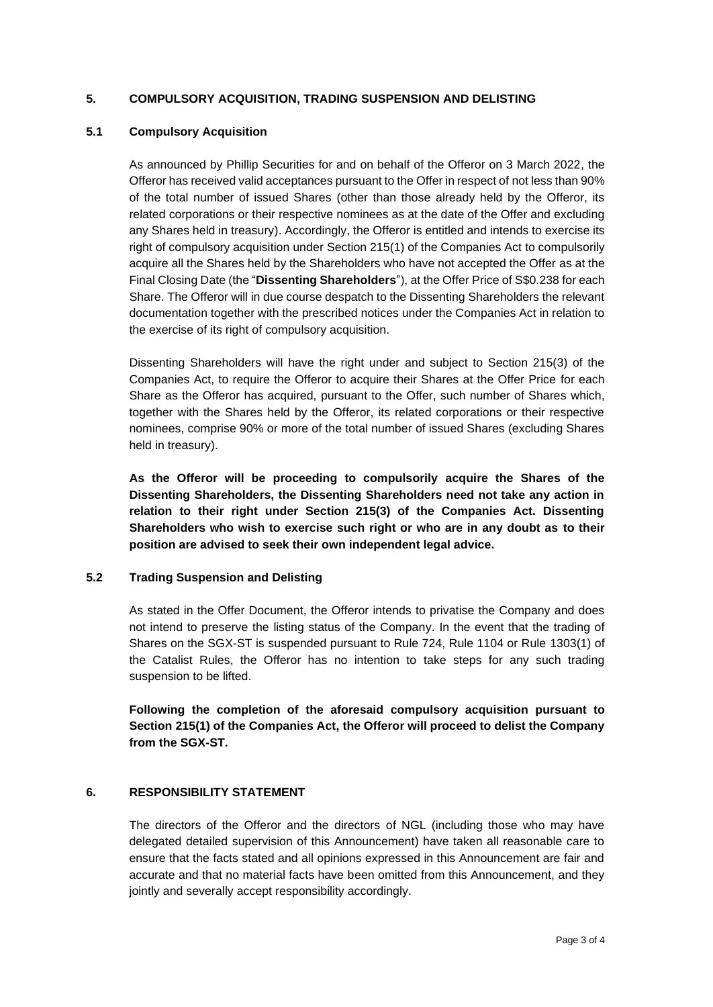# **5. COMPULSORY ACQUISITION, TRADING SUSPENSION AND DELISTING**

## **5.1 Compulsory Acquisition**

As announced by Phillip Securities for and on behalf of the Offeror on 3 March 2022, the Offeror has received valid acceptances pursuant to the Offer in respect of not less than 90% of the total number of issued Shares (other than those already held by the Offeror, its related corporations or their respective nominees as at the date of the Offer and excluding any Shares held in treasury). Accordingly, the Offeror is entitled and intends to exercise its right of compulsory acquisition under Section 215(1) of the Companies Act to compulsorily acquire all the Shares held by the Shareholders who have not accepted the Offer as at the Final Closing Date (the "**Dissenting Shareholders**"), at the Offer Price of S\$0.238 for each Share. The Offeror will in due course despatch to the Dissenting Shareholders the relevant documentation together with the prescribed notices under the Companies Act in relation to the exercise of its right of compulsory acquisition.

Dissenting Shareholders will have the right under and subject to Section 215(3) of the Companies Act, to require the Offeror to acquire their Shares at the Offer Price for each Share as the Offeror has acquired, pursuant to the Offer, such number of Shares which, together with the Shares held by the Offeror, its related corporations or their respective nominees, comprise 90% or more of the total number of issued Shares (excluding Shares held in treasury).

**As the Offeror will be proceeding to compulsorily acquire the Shares of the Dissenting Shareholders, the Dissenting Shareholders need not take any action in relation to their right under Section 215(3) of the Companies Act. Dissenting Shareholders who wish to exercise such right or who are in any doubt as to their position are advised to seek their own independent legal advice.**

# **5.2 Trading Suspension and Delisting**

As stated in the Offer Document, the Offeror intends to privatise the Company and does not intend to preserve the listing status of the Company. In the event that the trading of Shares on the SGX-ST is suspended pursuant to Rule 724, Rule 1104 or Rule 1303(1) of the Catalist Rules, the Offeror has no intention to take steps for any such trading suspension to be lifted.

**Following the completion of the aforesaid compulsory acquisition pursuant to Section 215(1) of the Companies Act, the Offeror will proceed to delist the Company from the SGX-ST.**

# **6. RESPONSIBILITY STATEMENT**

The directors of the Offeror and the directors of NGL (including those who may have delegated detailed supervision of this Announcement) have taken all reasonable care to ensure that the facts stated and all opinions expressed in this Announcement are fair and accurate and that no material facts have been omitted from this Announcement, and they jointly and severally accept responsibility accordingly.